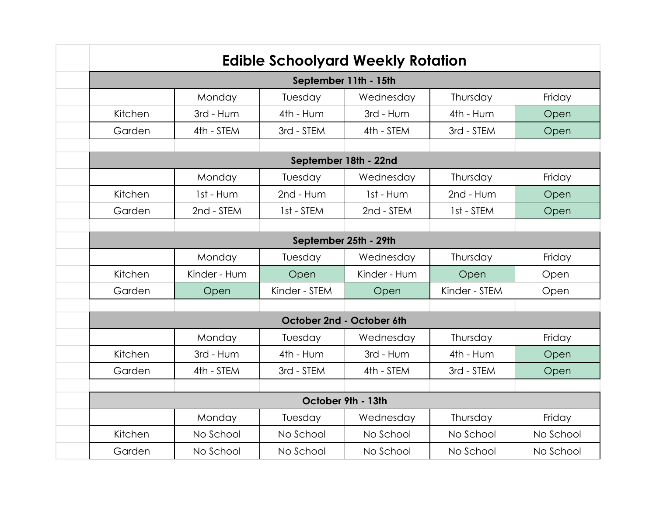| <b>Edible Schoolyard Weekly Rotation</b> |              |               |              |               |           |  |  |
|------------------------------------------|--------------|---------------|--------------|---------------|-----------|--|--|
| September 11th - 15th                    |              |               |              |               |           |  |  |
|                                          | Monday       | Tuesday       | Wednesday    | Thursday      | Friday    |  |  |
| Kitchen                                  | 3rd - Hum    | 4th - Hum     | 3rd - Hum    | 4th - Hum     | Open      |  |  |
| Garden                                   | 4th - STEM   | 3rd - STEM    | 4th - STEM   | 3rd - STEM    | Open      |  |  |
|                                          |              |               |              |               |           |  |  |
| September 18th - 22nd                    |              |               |              |               |           |  |  |
|                                          | Monday       | Tuesday       | Wednesday    | Thursday      | Friday    |  |  |
| Kitchen                                  | 1st - Hum    | 2nd - Hum     | 1st - Hum    | 2nd - Hum     | Open      |  |  |
| Garden                                   | 2nd - STEM   | 1st - STEM    | 2nd - STEM   | 1st - STEM    | Open      |  |  |
|                                          |              |               |              |               |           |  |  |
| September 25th - 29th                    |              |               |              |               |           |  |  |
|                                          | Monday       | Tuesday       | Wednesday    | Thursday      | Friday    |  |  |
| Kitchen                                  | Kinder - Hum | Open          | Kinder - Hum | Open          | Open      |  |  |
| Garden                                   | Open         | Kinder - STEM | Open         | Kinder - STEM | Open      |  |  |
|                                          |              |               |              |               |           |  |  |
| October 2nd - October 6th                |              |               |              |               |           |  |  |
|                                          | Monday       | Tuesday       | Wednesday    | Thursday      | Friday    |  |  |
| Kitchen                                  | 3rd - Hum    | 4th - Hum     | 3rd - Hum    | 4th - Hum     | Open      |  |  |
| Garden                                   | 4th - STEM   | 3rd - STEM    | 4th - STEM   | 3rd - STEM    | Open      |  |  |
|                                          |              |               |              |               |           |  |  |
| October 9th - 13th                       |              |               |              |               |           |  |  |
|                                          | Monday       | Tuesday       | Wednesday    | Thursday      | Friday    |  |  |
| Kitchen                                  | No School    | No School     | No School    | No School     | No School |  |  |
| Garden                                   | No School    | No School     | No School    | No School     | No School |  |  |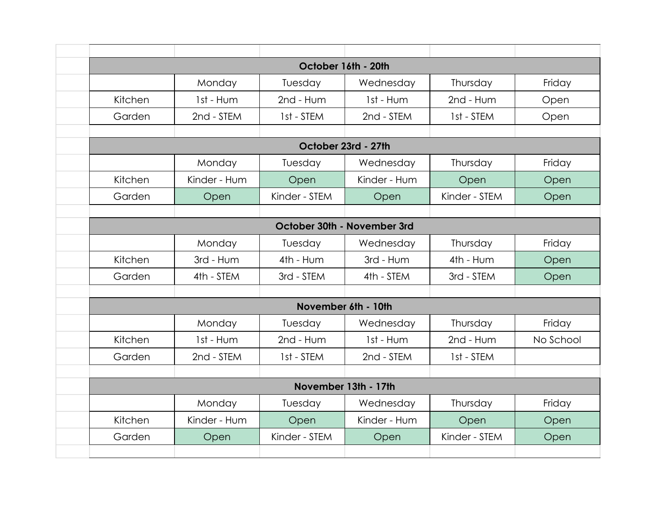| October 16th - 20th  |              |                             |              |               |           |  |  |
|----------------------|--------------|-----------------------------|--------------|---------------|-----------|--|--|
|                      | Monday       | Tuesday                     | Wednesday    | Thursday      | Friday    |  |  |
| Kitchen              | 1st - Hum    | 2nd - Hum                   | 1st - Hum    | 2nd - Hum     | Open      |  |  |
| Garden               | 2nd - STEM   | 1st - STEM                  | 2nd - STEM   | 1st - STEM    | Open      |  |  |
|                      |              |                             |              |               |           |  |  |
| October 23rd - 27th  |              |                             |              |               |           |  |  |
|                      | Monday       | Tuesday                     | Wednesday    | Thursday      | Friday    |  |  |
| Kitchen              | Kinder - Hum | Open                        | Kinder - Hum | Open          | Open      |  |  |
| Garden               | Open         | Kinder - STEM               | Open         | Kinder - STEM | Open      |  |  |
|                      |              |                             |              |               |           |  |  |
|                      |              | October 30th - November 3rd |              |               |           |  |  |
|                      | Monday       | Tuesday                     | Wednesday    | Thursday      | Friday    |  |  |
| Kitchen              | 3rd - Hum    | 4th - Hum                   | 3rd - Hum    | 4th - Hum     | Open      |  |  |
| Garden               | 4th - STEM   | 3rd - STEM                  | 4th - STEM   | 3rd - STEM    | Open      |  |  |
|                      |              |                             |              |               |           |  |  |
| November 6th - 10th  |              |                             |              |               |           |  |  |
|                      | Monday       | Tuesday                     | Wednesday    | Thursday      | Friday    |  |  |
| Kitchen              | 1st - Hum    | 2nd - Hum                   | 1st - Hum    | 2nd - Hum     | No School |  |  |
| Garden               | 2nd - STEM   | 1st - STEM                  | 2nd - STEM   | 1st - STEM    |           |  |  |
|                      |              |                             |              |               |           |  |  |
| November 13th - 17th |              |                             |              |               |           |  |  |
|                      | Monday       | Tuesday                     | Wednesday    | Thursday      | Friday    |  |  |
| Kitchen              | Kinder - Hum | Open                        | Kinder - Hum | Open          | Open      |  |  |
| Garden               | Open         | Kinder - STEM               | Open         | Kinder - STEM | Open      |  |  |
|                      |              |                             |              |               |           |  |  |